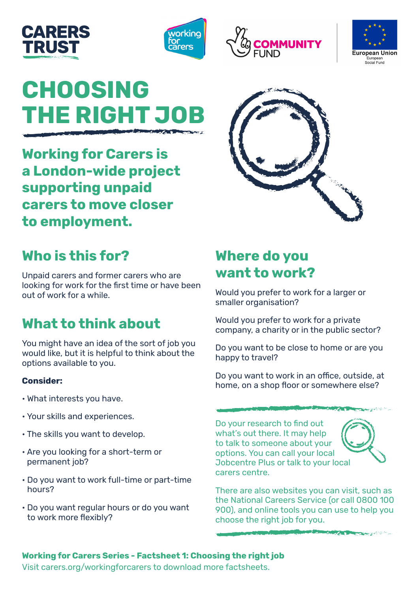







# **CHOOSING THE RIGHT JOB**

**Working for Carers is a London-wide project supporting unpaid carers to move closer to employment.** 



## **Who is this for?**

Unpaid carers and former carers who are looking for work for the first time or have been out of work for a while.

### **What to think about**

You might have an idea of the sort of job you would like, but it is helpful to think about the options available to you.

#### **Consider:**

- What interests you have.
- Your skills and experiences.
- The skills you want to develop.
- Are you looking for a short-term or permanent job?
- Do you want to work full-time or part-time hours?
- Do you want regular hours or do you want to work more flexibly?

#### **Where do you want to work?**

Would you prefer to work for a larger or smaller organisation?

Would you prefer to work for a private company, a charity or in the public sector?

Do you want to be close to home or are you happy to travel?

Do you want to work in an office, outside, at home, on a shop floor or somewhere else?

Do your research to find out what's out there. It may help to talk to someone about your options. You can call your local Jobcentre Plus or talk to your local carers centre.



There are also websites you can visit, such as the National Careers Service (or call 0800 100 900), and online tools you can use to help you choose the right job for you.

#### **Working for Carers Series - Factsheet 1: Choosing the right job**

Visit [carers.org/workingforcarers](http://www.carers.org/workingforcarers) to download more factsheets.